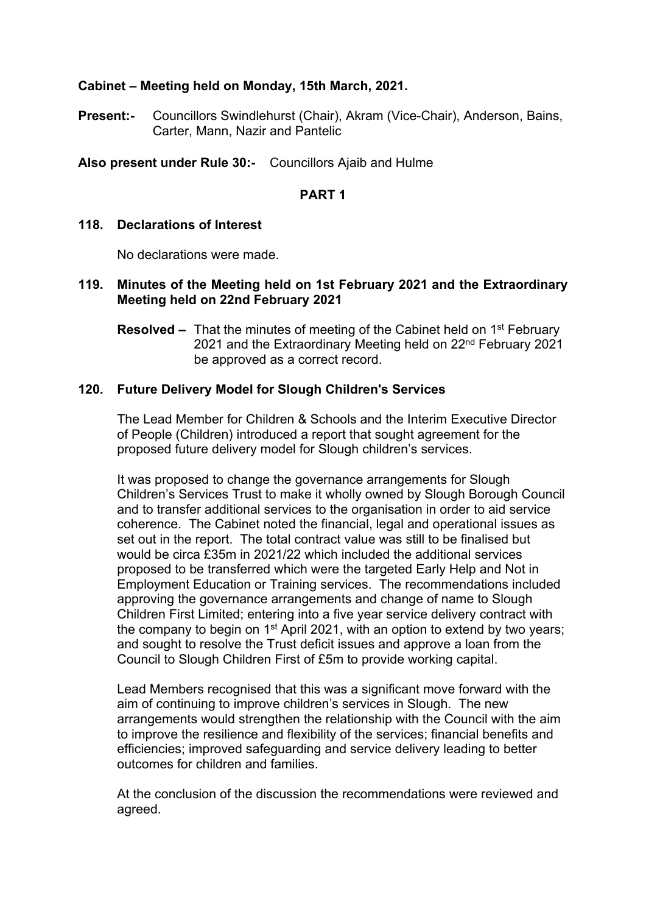# **Cabinet – Meeting held on Monday, 15th March, 2021.**

**Present:-** Councillors Swindlehurst (Chair), Akram (Vice-Chair), Anderson, Bains, Carter, Mann, Nazir and Pantelic

**Also present under Rule 30:-** Councillors Ajaib and Hulme

#### **PART 1**

#### **118. Declarations of Interest**

No declarations were made.

## **119. Minutes of the Meeting held on 1st February 2021 and the Extraordinary Meeting held on 22nd February 2021**

**Resolved –** That the minutes of meeting of the Cabinet held on 1<sup>st</sup> February 2021 and the Extraordinary Meeting held on 22<sup>nd</sup> February 2021 be approved as a correct record.

## **120. Future Delivery Model for Slough Children's Services**

The Lead Member for Children & Schools and the Interim Executive Director of People (Children) introduced a report that sought agreement for the proposed future delivery model for Slough children's services.

It was proposed to change the governance arrangements for Slough Children's Services Trust to make it wholly owned by Slough Borough Council and to transfer additional services to the organisation in order to aid service coherence. The Cabinet noted the financial, legal and operational issues as set out in the report. The total contract value was still to be finalised but would be circa £35m in 2021/22 which included the additional services proposed to be transferred which were the targeted Early Help and Not in Employment Education or Training services. The recommendations included approving the governance arrangements and change of name to Slough Children First Limited; entering into a five year service delivery contract with the company to begin on 1<sup>st</sup> April 2021, with an option to extend by two years; and sought to resolve the Trust deficit issues and approve a loan from the Council to Slough Children First of £5m to provide working capital.

Lead Members recognised that this was a significant move forward with the aim of continuing to improve children's services in Slough. The new arrangements would strengthen the relationship with the Council with the aim to improve the resilience and flexibility of the services; financial benefits and efficiencies; improved safeguarding and service delivery leading to better outcomes for children and families.

At the conclusion of the discussion the recommendations were reviewed and agreed.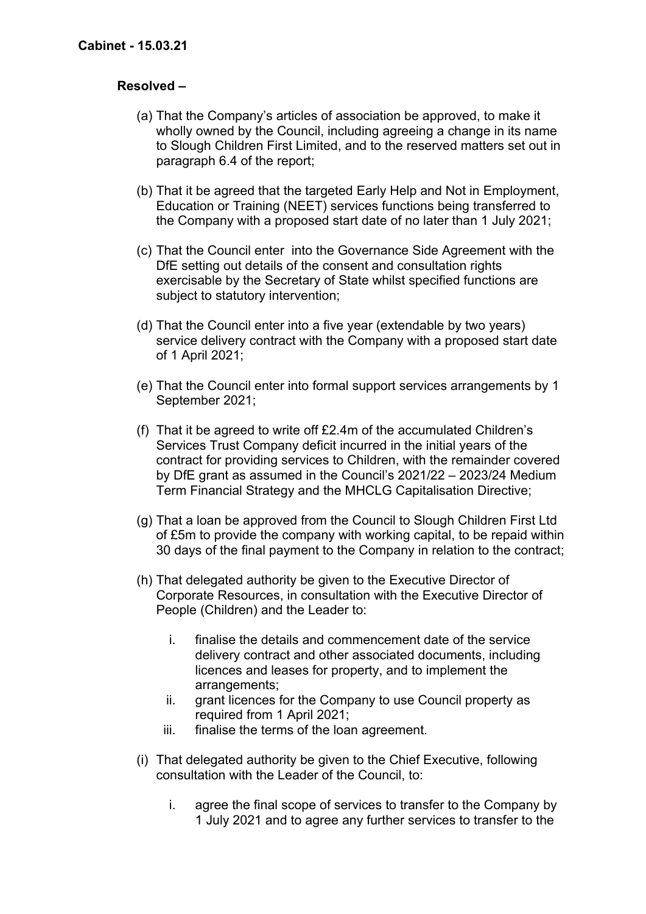# **Resolved –**

- (a) That the Company's articles of association be approved, to make it wholly owned by the Council, including agreeing a change in its name to Slough Children First Limited, and to the reserved matters set out in paragraph 6.4 of the report;
- (b) That it be agreed that the targeted Early Help and Not in Employment, Education or Training (NEET) services functions being transferred to the Company with a proposed start date of no later than 1 July 2021;
- (c) That the Council enter into the Governance Side Agreement with the DfE setting out details of the consent and consultation rights exercisable by the Secretary of State whilst specified functions are subject to statutory intervention;
- (d) That the Council enter into a five year (extendable by two years) service delivery contract with the Company with a proposed start date of 1 April 2021;
- (e) That the Council enter into formal support services arrangements by 1 September 2021;
- (f) That it be agreed to write off £2.4m of the accumulated Children's Services Trust Company deficit incurred in the initial years of the contract for providing services to Children, with the remainder covered by DfE grant as assumed in the Council's 2021/22 – 2023/24 Medium Term Financial Strategy and the MHCLG Capitalisation Directive;
- (g) That a loan be approved from the Council to Slough Children First Ltd of £5m to provide the company with working capital, to be repaid within 30 days of the final payment to the Company in relation to the contract;
- (h) That delegated authority be given to the Executive Director of Corporate Resources, in consultation with the Executive Director of People (Children) and the Leader to:
	- i. finalise the details and commencement date of the service delivery contract and other associated documents, including licences and leases for property, and to implement the arrangements;
	- ii. grant licences for the Company to use Council property as required from 1 April 2021;
	- iii. finalise the terms of the loan agreement.
- (i) That delegated authority be given to the Chief Executive, following consultation with the Leader of the Council, to:
	- i. agree the final scope of services to transfer to the Company by 1 July 2021 and to agree any further services to transfer to the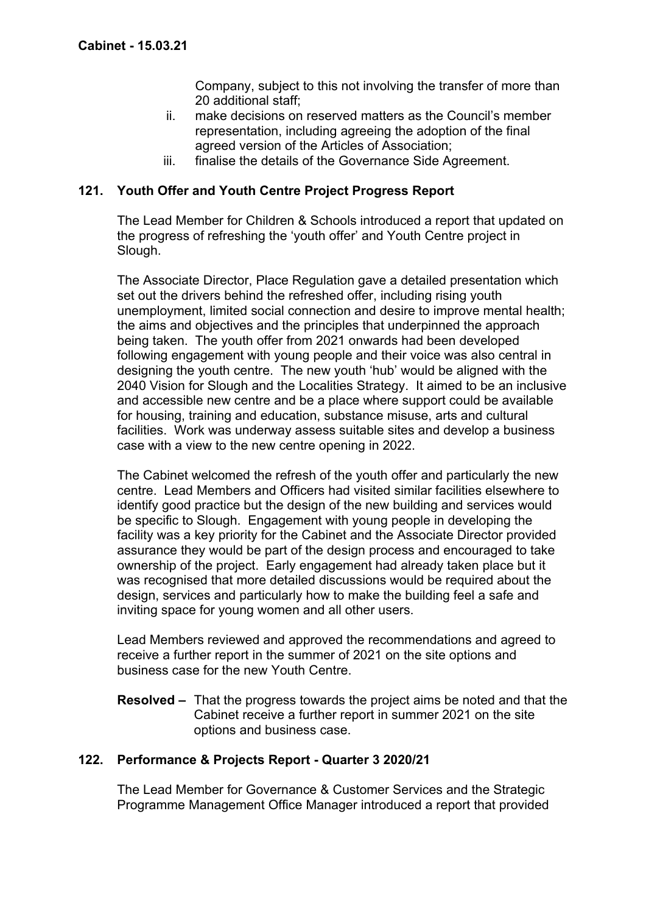Company, subject to this not involving the transfer of more than 20 additional staff;

- ii. make decisions on reserved matters as the Council's member representation, including agreeing the adoption of the final agreed version of the Articles of Association;
- iii. finalise the details of the Governance Side Agreement.

## **121. Youth Offer and Youth Centre Project Progress Report**

The Lead Member for Children & Schools introduced a report that updated on the progress of refreshing the 'youth offer' and Youth Centre project in Slough.

The Associate Director, Place Regulation gave a detailed presentation which set out the drivers behind the refreshed offer, including rising youth unemployment, limited social connection and desire to improve mental health; the aims and objectives and the principles that underpinned the approach being taken. The youth offer from 2021 onwards had been developed following engagement with young people and their voice was also central in designing the youth centre. The new youth 'hub' would be aligned with the 2040 Vision for Slough and the Localities Strategy. It aimed to be an inclusive and accessible new centre and be a place where support could be available for housing, training and education, substance misuse, arts and cultural facilities. Work was underway assess suitable sites and develop a business case with a view to the new centre opening in 2022.

The Cabinet welcomed the refresh of the youth offer and particularly the new centre. Lead Members and Officers had visited similar facilities elsewhere to identify good practice but the design of the new building and services would be specific to Slough. Engagement with young people in developing the facility was a key priority for the Cabinet and the Associate Director provided assurance they would be part of the design process and encouraged to take ownership of the project. Early engagement had already taken place but it was recognised that more detailed discussions would be required about the design, services and particularly how to make the building feel a safe and inviting space for young women and all other users.

Lead Members reviewed and approved the recommendations and agreed to receive a further report in the summer of 2021 on the site options and business case for the new Youth Centre.

**Resolved –** That the progress towards the project aims be noted and that the Cabinet receive a further report in summer 2021 on the site options and business case.

## **122. Performance & Projects Report - Quarter 3 2020/21**

The Lead Member for Governance & Customer Services and the Strategic Programme Management Office Manager introduced a report that provided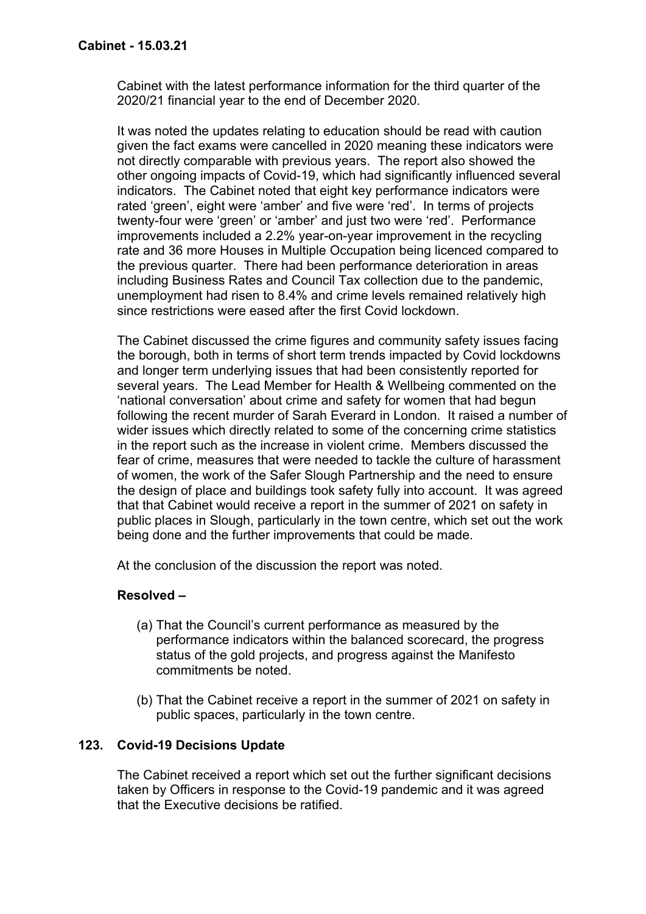Cabinet with the latest performance information for the third quarter of the 2020/21 financial year to the end of December 2020.

It was noted the updates relating to education should be read with caution given the fact exams were cancelled in 2020 meaning these indicators were not directly comparable with previous years. The report also showed the other ongoing impacts of Covid-19, which had significantly influenced several indicators. The Cabinet noted that eight key performance indicators were rated 'green', eight were 'amber' and five were 'red'. In terms of projects twenty-four were 'green' or 'amber' and just two were 'red'. Performance improvements included a 2.2% year-on-year improvement in the recycling rate and 36 more Houses in Multiple Occupation being licenced compared to the previous quarter. There had been performance deterioration in areas including Business Rates and Council Tax collection due to the pandemic, unemployment had risen to 8.4% and crime levels remained relatively high since restrictions were eased after the first Covid lockdown.

The Cabinet discussed the crime figures and community safety issues facing the borough, both in terms of short term trends impacted by Covid lockdowns and longer term underlying issues that had been consistently reported for several years. The Lead Member for Health & Wellbeing commented on the 'national conversation' about crime and safety for women that had begun following the recent murder of Sarah Everard in London. It raised a number of wider issues which directly related to some of the concerning crime statistics in the report such as the increase in violent crime. Members discussed the fear of crime, measures that were needed to tackle the culture of harassment of women, the work of the Safer Slough Partnership and the need to ensure the design of place and buildings took safety fully into account. It was agreed that that Cabinet would receive a report in the summer of 2021 on safety in public places in Slough, particularly in the town centre, which set out the work being done and the further improvements that could be made.

At the conclusion of the discussion the report was noted.

## **Resolved –**

- (a) That the Council's current performance as measured by the performance indicators within the balanced scorecard, the progress status of the gold projects, and progress against the Manifesto commitments be noted.
- (b) That the Cabinet receive a report in the summer of 2021 on safety in public spaces, particularly in the town centre.

## **123. Covid-19 Decisions Update**

The Cabinet received a report which set out the further significant decisions taken by Officers in response to the Covid-19 pandemic and it was agreed that the Executive decisions be ratified.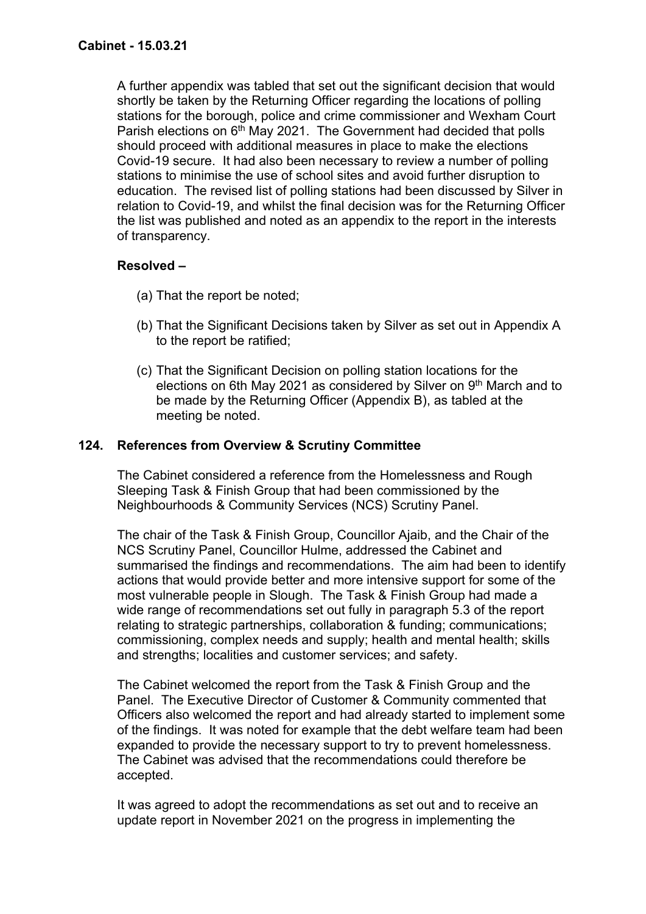A further appendix was tabled that set out the significant decision that would shortly be taken by the Returning Officer regarding the locations of polling stations for the borough, police and crime commissioner and Wexham Court Parish elections on 6<sup>th</sup> May 2021. The Government had decided that polls should proceed with additional measures in place to make the elections Covid-19 secure. It had also been necessary to review a number of polling stations to minimise the use of school sites and avoid further disruption to education. The revised list of polling stations had been discussed by Silver in relation to Covid-19, and whilst the final decision was for the Returning Officer the list was published and noted as an appendix to the report in the interests of transparency.

# **Resolved –**

- (a) That the report be noted;
- (b) That the Significant Decisions taken by Silver as set out in Appendix A to the report be ratified;
- (c) That the Significant Decision on polling station locations for the elections on 6th May 2021 as considered by Silver on 9<sup>th</sup> March and to be made by the Returning Officer (Appendix B), as tabled at the meeting be noted.

# **124. References from Overview & Scrutiny Committee**

The Cabinet considered a reference from the Homelessness and Rough Sleeping Task & Finish Group that had been commissioned by the Neighbourhoods & Community Services (NCS) Scrutiny Panel.

The chair of the Task & Finish Group, Councillor Ajaib, and the Chair of the NCS Scrutiny Panel, Councillor Hulme, addressed the Cabinet and summarised the findings and recommendations. The aim had been to identify actions that would provide better and more intensive support for some of the most vulnerable people in Slough. The Task & Finish Group had made a wide range of recommendations set out fully in paragraph 5.3 of the report relating to strategic partnerships, collaboration & funding; communications; commissioning, complex needs and supply; health and mental health; skills and strengths; localities and customer services; and safety.

The Cabinet welcomed the report from the Task & Finish Group and the Panel. The Executive Director of Customer & Community commented that Officers also welcomed the report and had already started to implement some of the findings. It was noted for example that the debt welfare team had been expanded to provide the necessary support to try to prevent homelessness. The Cabinet was advised that the recommendations could therefore be accepted.

It was agreed to adopt the recommendations as set out and to receive an update report in November 2021 on the progress in implementing the